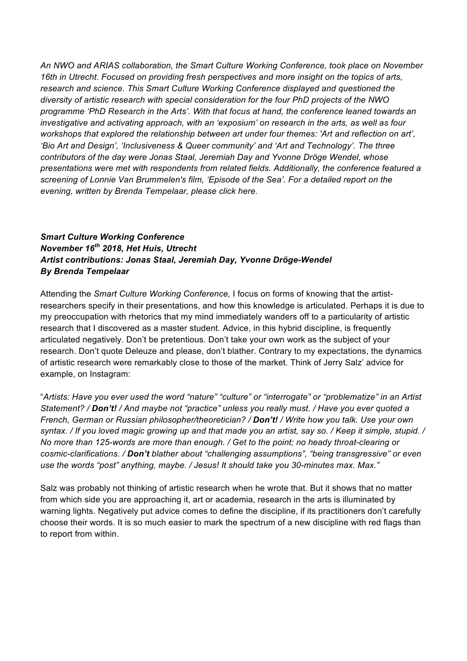*An NWO and ARIAS collaboration, the Smart Culture Working Conference, took place on November 16th in Utrecht. Focused on providing fresh perspectives and more insight on the topics of arts, research and science. This Smart Culture Working Conference displayed and questioned the diversity of artistic research with special consideration for the four PhD projects of the NWO programme 'PhD Research in the Arts'. With that focus at hand, the conference leaned towards an investigative and activating approach, with an 'exposium' on research in the arts, as well as four workshops that explored the relationship between art under four themes: 'Art and reflection on art', 'Bio Art and Design', 'Inclusiveness & Queer community' and 'Art and Technology'. The three contributors of the day were Jonas Staal, Jeremiah Day and Yvonne Dröge Wendel, whose presentations were met with respondents from related fields. Additionally, the conference featured a screening of Lonnie Van Brummelen's film, 'Episode of the Sea'. For a detailed report on the evening, written by Brenda Tempelaar, please click here.*

## *Smart Culture Working Conference November 16th 2018, Het Huis, Utrecht Artist contributions: Jonas Staal, Jeremiah Day, Yvonne Dröge-Wendel By Brenda Tempelaar*

Attending the *Smart Culture Working Conference,* I focus on forms of knowing that the artistresearchers specify in their presentations, and how this knowledge is articulated. Perhaps it is due to my preoccupation with rhetorics that my mind immediately wanders off to a particularity of artistic research that I discovered as a master student. Advice, in this hybrid discipline, is frequently articulated negatively. Don't be pretentious. Don't take your own work as the subject of your research. Don't quote Deleuze and please, don't blather. Contrary to my expectations, the dynamics of artistic research were remarkably close to those of the market. Think of Jerry Salz' advice for example, on Instagram:

"*Artists: Have you ever used the word "nature" "culture" or "interrogate" or "problematize" in an Artist Statement? / Don't! / And maybe not "practice" unless you really must. / Have you ever quoted a French, German or Russian philosopher/theoretician? / Don't! / Write how you talk. Use your own* syntax. / If you loved magic growing up and that made you an artist, say so. / Keep it simple, stupid. / *No more than 125-words are more than enough. / Get to the point; no heady throat-clearing or cosmic-clarifications. / Don't blather about "challenging assumptions", "being transgressive" or even use the words "post" anything, maybe. / Jesus! It should take you 30-minutes max. Max."*

Salz was probably not thinking of artistic research when he wrote that. But it shows that no matter from which side you are approaching it, art or academia, research in the arts is illuminated by warning lights. Negatively put advice comes to define the discipline, if its practitioners don't carefully choose their words. It is so much easier to mark the spectrum of a new discipline with red flags than to report from within.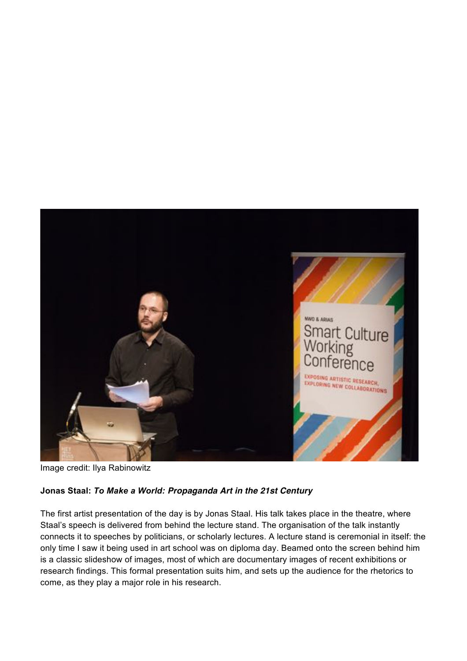

Image credit: Ilya Rabinowitz

## **Jonas Staal:** *To Make a World: Propaganda Art in the 21st Century*

The first artist presentation of the day is by Jonas Staal. His talk takes place in the theatre, where Staal's speech is delivered from behind the lecture stand. The organisation of the talk instantly connects it to speeches by politicians, or scholarly lectures. A lecture stand is ceremonial in itself: the only time I saw it being used in art school was on diploma day. Beamed onto the screen behind him is a classic slideshow of images, most of which are documentary images of recent exhibitions or research findings. This formal presentation suits him, and sets up the audience for the rhetorics to come, as they play a major role in his research.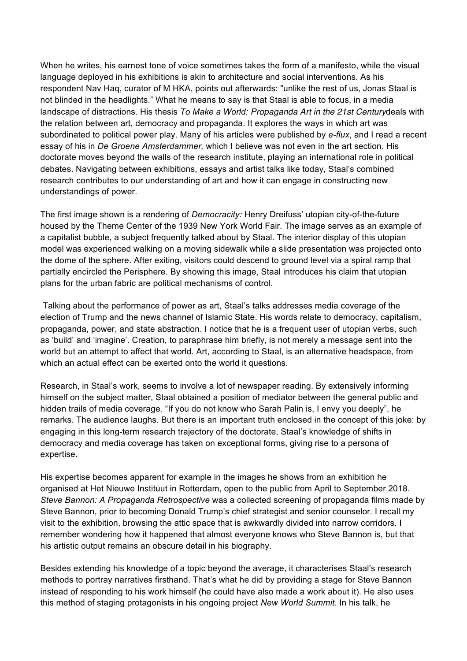When he writes, his earnest tone of voice sometimes takes the form of a manifesto, while the visual language deployed in his exhibitions is akin to architecture and social interventions. As his respondent Nav Haq, curator of M HKA, points out afterwards: "unlike the rest of us, Jonas Staal is not blinded in the headlights." What he means to say is that Staal is able to focus, in a media landscape of distractions. His thesis *To Make a World: Propaganda Art in the 21st Century*deals with the relation between art, democracy and propaganda. It explores the ways in which art was subordinated to political power play. Many of his articles were published by *e-flux*, and I read a recent essay of his in *De Groene Amsterdammer,* which I believe was not even in the art section. His doctorate moves beyond the walls of the research institute, playing an international role in political debates. Navigating between exhibitions, essays and artist talks like today, Staal's combined research contributes to our understanding of art and how it can engage in constructing new understandings of power.

The first image shown is a rendering of *Democracity:* Henry Dreifuss' utopian city-of-the-future housed by the Theme Center of the 1939 New York World Fair. The image serves as an example of a capitalist bubble, a subject frequently talked about by Staal. The interior display of this utopian model was experienced walking on a moving sidewalk while a slide presentation was projected onto the dome of the sphere. After exiting, visitors could descend to ground level via a spiral ramp that partially encircled the Perisphere. By showing this image, Staal introduces his claim that utopian plans for the urban fabric are political mechanisms of control.

Talking about the performance of power as art, Staal's talks addresses media coverage of the election of Trump and the news channel of Islamic State. His words relate to democracy, capitalism, propaganda, power, and state abstraction. I notice that he is a frequent user of utopian verbs, such as 'build' and 'imagine'. Creation, to paraphrase him briefly, is not merely a message sent into the world but an attempt to affect that world. Art, according to Staal, is an alternative headspace, from which an actual effect can be exerted onto the world it questions.

Research, in Staal's work, seems to involve a lot of newspaper reading. By extensively informing himself on the subject matter, Staal obtained a position of mediator between the general public and hidden trails of media coverage. "If you do not know who Sarah Palin is, I envy you deeply", he remarks. The audience laughs. But there is an important truth enclosed in the concept of this joke: by engaging in this long-term research trajectory of the doctorate, Staal's knowledge of shifts in democracy and media coverage has taken on exceptional forms, giving rise to a persona of expertise.

His expertise becomes apparent for example in the images he shows from an exhibition he organised at Het Nieuwe Instituut in Rotterdam, open to the public from April to September 2018. *Steve Bannon: A Propaganda Retrospective* was a collected screening of propaganda films made by Steve Bannon, prior to becoming Donald Trump's chief strategist and senior counselor. I recall my visit to the exhibition, browsing the attic space that is awkwardly divided into narrow corridors. I remember wondering how it happened that almost everyone knows who Steve Bannon is, but that his artistic output remains an obscure detail in his biography.

Besides extending his knowledge of a topic beyond the average, it characterises Staal's research methods to portray narratives firsthand. That's what he did by providing a stage for Steve Bannon instead of responding to his work himself (he could have also made a work about it). He also uses this method of staging protagonists in his ongoing project *New World Summit.* In his talk, he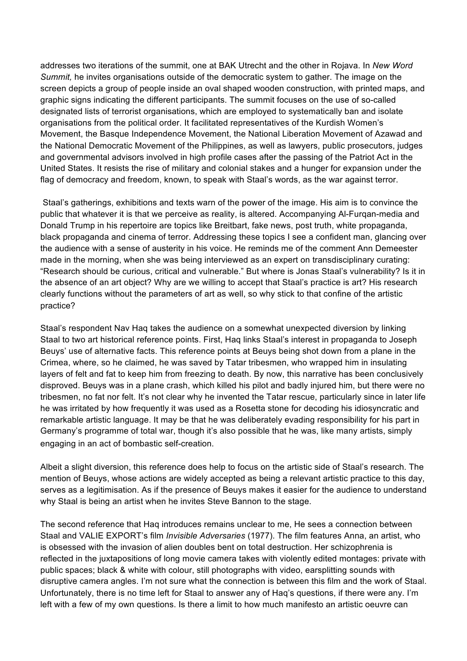addresses two iterations of the summit, one at BAK Utrecht and the other in Rojava. In *New Word Summit,* he invites organisations outside of the democratic system to gather. The image on the screen depicts a group of people inside an oval shaped wooden construction, with printed maps, and graphic signs indicating the different participants. The summit focuses on the use of so-called designated lists of terrorist organisations, which are employed to systematically ban and isolate organisations from the political order. It facilitated representatives of the Kurdish Women's Movement, the Basque Independence Movement, the National Liberation Movement of Azawad and the National Democratic Movement of the Philippines, as well as lawyers, public prosecutors, judges and governmental advisors involved in high profile cases after the passing of the Patriot Act in the United States. It resists the rise of military and colonial stakes and a hunger for expansion under the flag of democracy and freedom, known, to speak with Staal's words, as the war against terror.

Staal's gatherings, exhibitions and texts warn of the power of the image. His aim is to convince the public that whatever it is that we perceive as reality, is altered. Accompanying Al-Furqan-media and Donald Trump in his repertoire are topics like Breitbart, fake news, post truth, white propaganda, black propaganda and cinema of terror. Addressing these topics I see a confident man, glancing over the audience with a sense of austerity in his voice. He reminds me of the comment Ann Demeester made in the morning, when she was being interviewed as an expert on transdisciplinary curating: "Research should be curious, critical and vulnerable." But where is Jonas Staal's vulnerability? Is it in the absence of an art object? Why are we willing to accept that Staal's practice is art? His research clearly functions without the parameters of art as well, so why stick to that confine of the artistic practice?

Staal's respondent Nav Haq takes the audience on a somewhat unexpected diversion by linking Staal to two art historical reference points. First, Haq links Staal's interest in propaganda to Joseph Beuys' use of alternative facts. This reference points at Beuys being shot down from a plane in the Crimea, where, so he claimed, he was saved by Tatar tribesmen, who wrapped him in insulating layers of felt and fat to keep him from freezing to death. By now, this narrative has been conclusively disproved. Beuys was in a plane crash, which killed his pilot and badly injured him, but there were no tribesmen, no fat nor felt. It's not clear why he invented the Tatar rescue, particularly since in later life he was irritated by how frequently it was used as a Rosetta stone for decoding his idiosyncratic and remarkable artistic language. It may be that he was deliberately evading responsibility for his part in Germany's programme of total war, though it's also possible that he was, like many artists, simply engaging in an act of bombastic self‑creation.

Albeit a slight diversion, this reference does help to focus on the artistic side of Staal's research. The mention of Beuys, whose actions are widely accepted as being a relevant artistic practice to this day, serves as a legitimisation. As if the presence of Beuys makes it easier for the audience to understand why Staal is being an artist when he invites Steve Bannon to the stage.

The second reference that Haq introduces remains unclear to me, He sees a connection between Staal and VALIE EXPORT's film *Invisible Adversaries* (1977). The film features Anna, an artist, who is obsessed with the invasion of alien doubles bent on total destruction. Her schizophrenia is reflected in the juxtapositions of long movie camera takes with violently edited montages: private with public spaces; black & white with colour, still photographs with video, earsplitting sounds with disruptive camera angles. I'm not sure what the connection is between this film and the work of Staal. Unfortunately, there is no time left for Staal to answer any of Haq's questions, if there were any. I'm left with a few of my own questions. Is there a limit to how much manifesto an artistic oeuvre can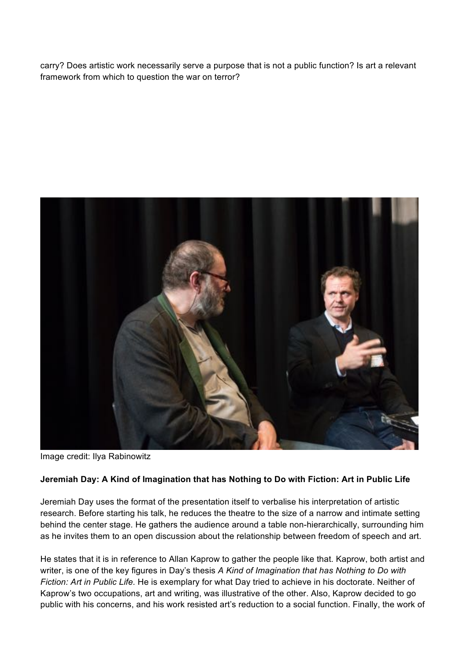carry? Does artistic work necessarily serve a purpose that is not a public function? Is art a relevant framework from which to question the war on terror?



Image credit: Ilya Rabinowitz

## **Jeremiah Day: A Kind of Imagination that has Nothing to Do with Fiction: Art in Public Life**

Jeremiah Day uses the format of the presentation itself to verbalise his interpretation of artistic research. Before starting his talk, he reduces the theatre to the size of a narrow and intimate setting behind the center stage. He gathers the audience around a table non-hierarchically, surrounding him as he invites them to an open discussion about the relationship between freedom of speech and art.

He states that it is in reference to Allan Kaprow to gather the people like that. Kaprow, both artist and writer, is one of the key figures in Day's thesis *A Kind of Imagination that has Nothing to Do with Fiction: Art in Public Life.* He is exemplary for what Day tried to achieve in his doctorate. Neither of Kaprow's two occupations, art and writing, was illustrative of the other. Also, Kaprow decided to go public with his concerns, and his work resisted art's reduction to a social function. Finally, the work of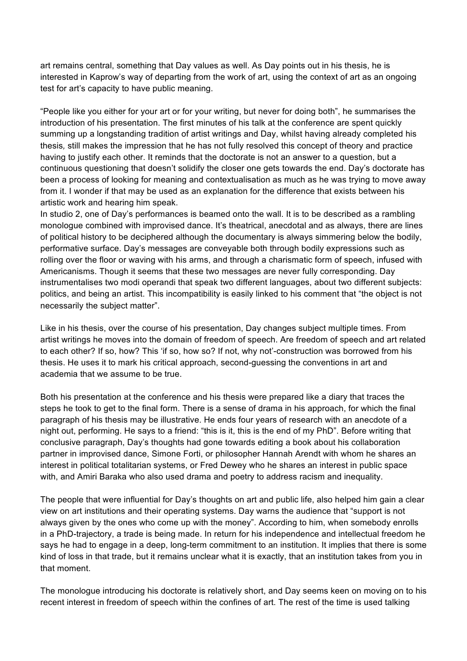art remains central, something that Day values as well. As Day points out in his thesis, he is interested in Kaprow's way of departing from the work of art, using the context of art as an ongoing test for art's capacity to have public meaning.

"People like you either for your art or for your writing, but never for doing both", he summarises the introduction of his presentation. The first minutes of his talk at the conference are spent quickly summing up a longstanding tradition of artist writings and Day, whilst having already completed his thesis*,* still makes the impression that he has not fully resolved this concept of theory and practice having to justify each other. It reminds that the doctorate is not an answer to a question, but a continuous questioning that doesn't solidify the closer one gets towards the end. Day's doctorate has been a process of looking for meaning and contextualisation as much as he was trying to move away from it. I wonder if that may be used as an explanation for the difference that exists between his artistic work and hearing him speak.

In studio 2, one of Day's performances is beamed onto the wall. It is to be described as a rambling monologue combined with improvised dance. It's theatrical, anecdotal and as always, there are lines of political history to be deciphered although the documentary is always simmering below the bodily, performative surface. Day's messages are conveyable both through bodily expressions such as rolling over the floor or waving with his arms, and through a charismatic form of speech, infused with Americanisms. Though it seems that these two messages are never fully corresponding. Day instrumentalises two modi operandi that speak two different languages, about two different subjects: politics, and being an artist. This incompatibility is easily linked to his comment that "the object is not necessarily the subject matter".

Like in his thesis, over the course of his presentation, Day changes subject multiple times. From artist writings he moves into the domain of freedom of speech. Are freedom of speech and art related to each other? If so, how? This 'if so, how so? If not, why not'-construction was borrowed from his thesis. He uses it to mark his critical approach, second-guessing the conventions in art and academia that we assume to be true.

Both his presentation at the conference and his thesis were prepared like a diary that traces the steps he took to get to the final form. There is a sense of drama in his approach, for which the final paragraph of his thesis may be illustrative. He ends four years of research with an anecdote of a night out, performing. He says to a friend: "this is it, this is the end of my PhD". Before writing that conclusive paragraph, Day's thoughts had gone towards editing a book about his collaboration partner in improvised dance, Simone Forti, or philosopher Hannah Arendt with whom he shares an interest in political totalitarian systems, or Fred Dewey who he shares an interest in public space with, and Amiri Baraka who also used drama and poetry to address racism and inequality.

The people that were influential for Day's thoughts on art and public life, also helped him gain a clear view on art institutions and their operating systems. Day warns the audience that "support is not always given by the ones who come up with the money". According to him, when somebody enrolls in a PhD-trajectory, a trade is being made. In return for his independence and intellectual freedom he says he had to engage in a deep, long-term commitment to an institution. It implies that there is some kind of loss in that trade, but it remains unclear what it is exactly, that an institution takes from you in that moment.

The monologue introducing his doctorate is relatively short, and Day seems keen on moving on to his recent interest in freedom of speech within the confines of art. The rest of the time is used talking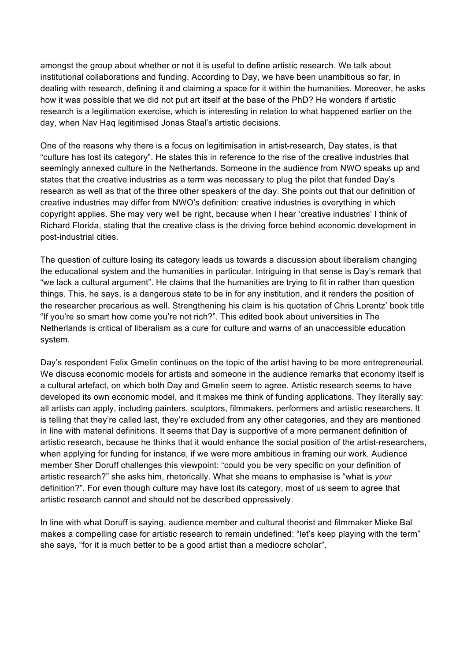amongst the group about whether or not it is useful to define artistic research. We talk about institutional collaborations and funding. According to Day, we have been unambitious so far, in dealing with research, defining it and claiming a space for it within the humanities. Moreover, he asks how it was possible that we did not put art itself at the base of the PhD? He wonders if artistic research is a legitimation exercise, which is interesting in relation to what happened earlier on the day, when Nav Haq legitimised Jonas Staal's artistic decisions.

One of the reasons why there is a focus on legitimisation in artist-research, Day states, is that "culture has lost its category". He states this in reference to the rise of the creative industries that seemingly annexed culture in the Netherlands. Someone in the audience from NWO speaks up and states that the creative industries as a term was necessary to plug the pilot that funded Day's research as well as that of the three other speakers of the day. She points out that our definition of creative industries may differ from NWO's definition: creative industries is everything in which copyright applies. She may very well be right, because when I hear 'creative industries' I think of Richard Florida, stating that the creative class is the driving force behind economic development in post-industrial cities.

The question of culture losing its category leads us towards a discussion about liberalism changing the educational system and the humanities in particular. Intriguing in that sense is Day's remark that "we lack a cultural argument". He claims that the humanities are trying to fit in rather than question things. This, he says, is a dangerous state to be in for any institution, and it renders the position of the researcher precarious as well. Strengthening his claim is his quotation of Chris Lorentz' book title "If you're so smart how come you're not rich?". This edited book about universities in The Netherlands is critical of liberalism as a cure for culture and warns of an unaccessible education system.

Day's respondent Felix Gmelin continues on the topic of the artist having to be more entrepreneurial. We discuss economic models for artists and someone in the audience remarks that economy itself is a cultural artefact, on which both Day and Gmelin seem to agree. Artistic research seems to have developed its own economic model, and it makes me think of funding applications. They literally say: all artists can apply, including painters, sculptors, filmmakers, performers and artistic researchers. It is telling that they're called last, they're excluded from any other categories, and they are mentioned in line with material definitions. It seems that Day is supportive of a more permanent definition of artistic research, because he thinks that it would enhance the social position of the artist-researchers, when applying for funding for instance, if we were more ambitious in framing our work. Audience member Sher Doruff challenges this viewpoint: "could you be very specific on your definition of artistic research?" she asks him, rhetorically. What she means to emphasise is "what is *your* definition?". For even though culture may have lost its category, most of us seem to agree that artistic research cannot and should not be described oppressively.

In line with what Doruff is saying, audience member and cultural theorist and filmmaker Mieke Bal makes a compelling case for artistic research to remain undefined: "let's keep playing with the term" she says, "for it is much better to be a good artist than a mediocre scholar".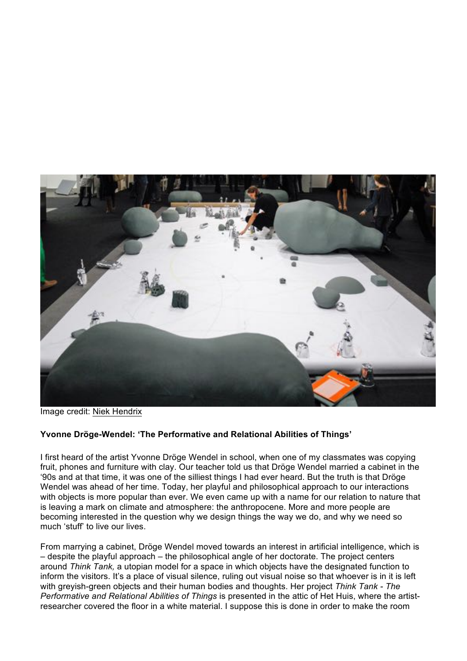

Image credit: Niek [Hendrix](http://niekhendrix.com/)

## **Yvonne Dröge-Wendel: 'The Performative and Relational Abilities of Things'**

I first heard of the artist Yvonne Dröge Wendel in school, when one of my classmates was copying fruit, phones and furniture with clay. Our teacher told us that Dröge Wendel married a cabinet in the '90s and at that time, it was one of the silliest things I had ever heard. But the truth is that Dröge Wendel was ahead of her time. Today, her playful and philosophical approach to our interactions with objects is more popular than ever. We even came up with a name for our relation to nature that is leaving a mark on climate and atmosphere: the anthropocene. More and more people are becoming interested in the question why we design things the way we do, and why we need so much 'stuff' to live our lives.

From marrying a cabinet, Dröge Wendel moved towards an interest in artificial intelligence, which is – despite the playful approach – the philosophical angle of her doctorate. The project centers around *Think Tank,* a utopian model for a space in which objects have the designated function to inform the visitors. It's a place of visual silence, ruling out visual noise so that whoever is in it is left with greyish-green objects and their human bodies and thoughts. Her project *Think Tank - The Performative and Relational Abilities of Things* is presented in the attic of Het Huis, where the artistresearcher covered the floor in a white material. I suppose this is done in order to make the room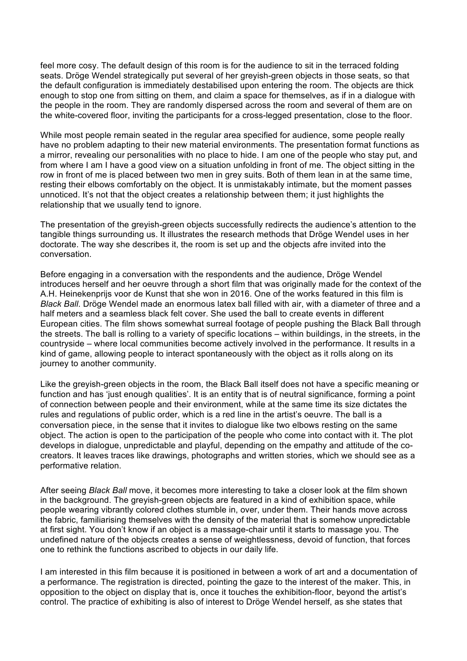feel more cosy. The default design of this room is for the audience to sit in the terraced folding seats. Dröge Wendel strategically put several of her greyish-green objects in those seats, so that the default configuration is immediately destabilised upon entering the room. The objects are thick enough to stop one from sitting on them, and claim a space for themselves, as if in a dialogue with the people in the room. They are randomly dispersed across the room and several of them are on the white-covered floor, inviting the participants for a cross-legged presentation, close to the floor.

While most people remain seated in the regular area specified for audience, some people really have no problem adapting to their new material environments. The presentation format functions as a mirror, revealing our personalities with no place to hide. I am one of the people who stay put, and from where I am I have a good view on a situation unfolding in front of me. The object sitting in the row in front of me is placed between two men in grey suits. Both of them lean in at the same time, resting their elbows comfortably on the object. It is unmistakably intimate, but the moment passes unnoticed. It's not that the object creates a relationship between them; it just highlights the relationship that we usually tend to ignore.

The presentation of the greyish-green objects successfully redirects the audience's attention to the tangible things surrounding us. It illustrates the research methods that Dröge Wendel uses in her doctorate. The way she describes it, the room is set up and the objects afre invited into the conversation.

Before engaging in a conversation with the respondents and the audience, Dröge Wendel introduces herself and her oeuvre through a short film that was originally made for the context of the A.H. Heinekenprijs voor de Kunst that she won in 2016. One of the works featured in this film is *Black Ball*. Dröge Wendel made an enormous latex ball filled with air, with a diameter of three and a half meters and a seamless black felt cover. She used the ball to create events in different European cities. The film shows somewhat surreal footage of people pushing the Black Ball through the streets. The ball is rolling to a variety of specific locations – within buildings, in the streets, in the countryside – where local communities become actively involved in the performance. It results in a kind of game, allowing people to interact spontaneously with the object as it rolls along on its journey to another community.

Like the greyish-green objects in the room, the Black Ball itself does not have a specific meaning or function and has 'just enough qualities'. It is an entity that is of neutral significance, forming a point of connection between people and their environment, while at the same time its size dictates the rules and regulations of public order, which is a red line in the artist's oeuvre. The ball is a conversation piece, in the sense that it invites to dialogue like two elbows resting on the same object. The action is open to the participation of the people who come into contact with it. The plot develops in dialogue, unpredictable and playful, depending on the empathy and attitude of the cocreators. It leaves traces like drawings, photographs and written stories, which we should see as a performative relation.

After seeing *Black Ball* move, it becomes more interesting to take a closer look at the film shown in the background. The greyish-green objects are featured in a kind of exhibition space, while people wearing vibrantly colored clothes stumble in, over, under them. Their hands move across the fabric, familiarising themselves with the density of the material that is somehow unpredictable at first sight. You don't know if an object is a massage-chair until it starts to massage you. The undefined nature of the objects creates a sense of weightlessness, devoid of function, that forces one to rethink the functions ascribed to objects in our daily life.

I am interested in this film because it is positioned in between a work of art and a documentation of a performance. The registration is directed, pointing the gaze to the interest of the maker. This, in opposition to the object on display that is, once it touches the exhibition-floor, beyond the artist's control. The practice of exhibiting is also of interest to Dröge Wendel herself, as she states that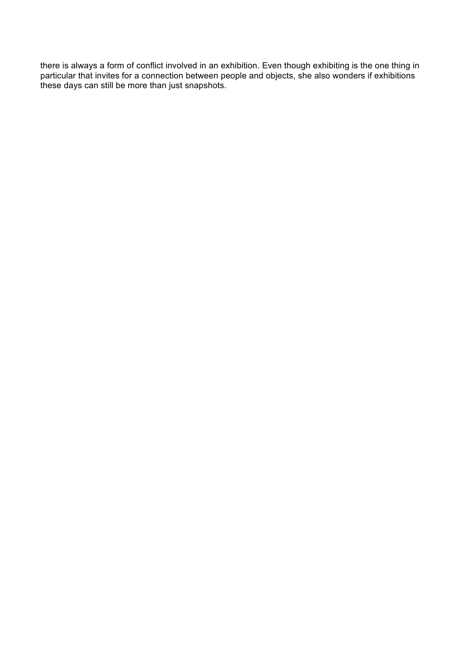there is always a form of conflict involved in an exhibition. Even though exhibiting is the one thing in particular that invites for a connection between people and objects, she also wonders if exhibitions these days can still be more than just snapshots.